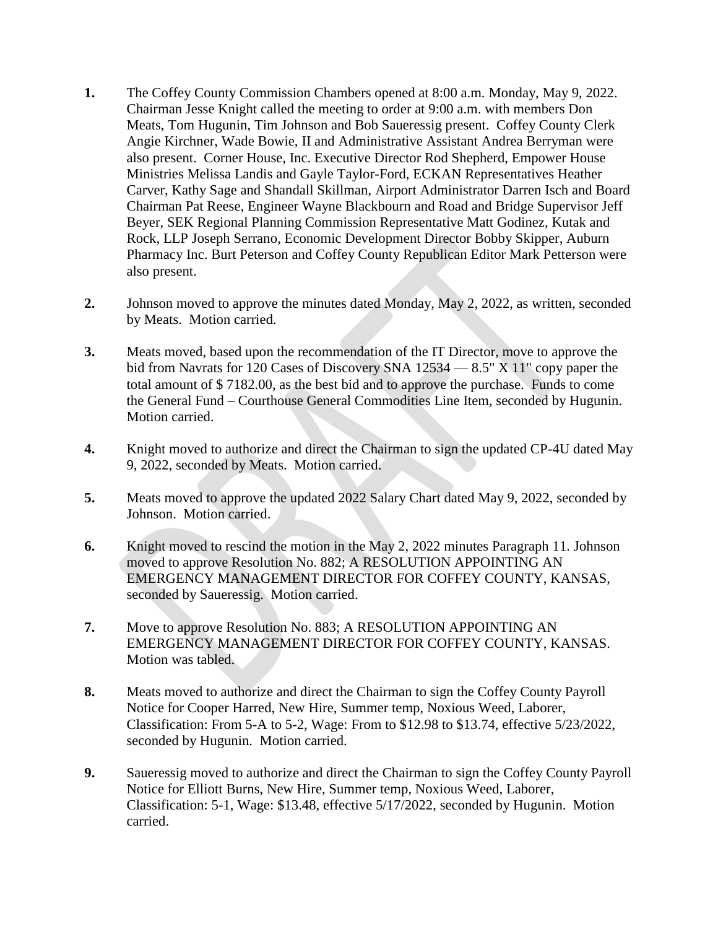- **1.** The Coffey County Commission Chambers opened at 8:00 a.m. Monday, May 9, 2022. Chairman Jesse Knight called the meeting to order at 9:00 a.m. with members Don Meats, Tom Hugunin, Tim Johnson and Bob Saueressig present. Coffey County Clerk Angie Kirchner, Wade Bowie, II and Administrative Assistant Andrea Berryman were also present. Corner House, Inc. Executive Director Rod Shepherd, Empower House Ministries Melissa Landis and Gayle Taylor-Ford, ECKAN Representatives Heather Carver, Kathy Sage and Shandall Skillman, Airport Administrator Darren Isch and Board Chairman Pat Reese, Engineer Wayne Blackbourn and Road and Bridge Supervisor Jeff Beyer, SEK Regional Planning Commission Representative Matt Godinez, Kutak and Rock, LLP Joseph Serrano, Economic Development Director Bobby Skipper, Auburn Pharmacy Inc. Burt Peterson and Coffey County Republican Editor Mark Petterson were also present.
- **2.** Johnson moved to approve the minutes dated Monday, May 2, 2022, as written, seconded by Meats. Motion carried.
- **3.** Meats moved, based upon the recommendation of the IT Director, move to approve the bid from Navrats for 120 Cases of Discovery SNA 12534 — 8.5" X 11" copy paper the total amount of \$ 7182.00, as the best bid and to approve the purchase. Funds to come the General Fund – Courthouse General Commodities Line Item, seconded by Hugunin. Motion carried.
- **4.** Knight moved to authorize and direct the Chairman to sign the updated CP-4U dated May 9, 2022, seconded by Meats. Motion carried.
- **5.** Meats moved to approve the updated 2022 Salary Chart dated May 9, 2022, seconded by Johnson. Motion carried.
- **6.** Knight moved to rescind the motion in the May 2, 2022 minutes Paragraph 11. Johnson moved to approve Resolution No. 882; A RESOLUTION APPOINTING AN EMERGENCY MANAGEMENT DIRECTOR FOR COFFEY COUNTY, KANSAS, seconded by Saueressig. Motion carried.
- **7.** Move to approve Resolution No. 883; A RESOLUTION APPOINTING AN EMERGENCY MANAGEMENT DIRECTOR FOR COFFEY COUNTY, KANSAS. Motion was tabled.
- **8.** Meats moved to authorize and direct the Chairman to sign the Coffey County Payroll Notice for Cooper Harred, New Hire, Summer temp, Noxious Weed, Laborer, Classification: From 5-A to 5-2, Wage: From to \$12.98 to \$13.74, effective 5/23/2022, seconded by Hugunin. Motion carried.
- **9.** Saueressig moved to authorize and direct the Chairman to sign the Coffey County Payroll Notice for Elliott Burns, New Hire, Summer temp, Noxious Weed, Laborer, Classification: 5-1, Wage: \$13.48, effective 5/17/2022, seconded by Hugunin. Motion carried.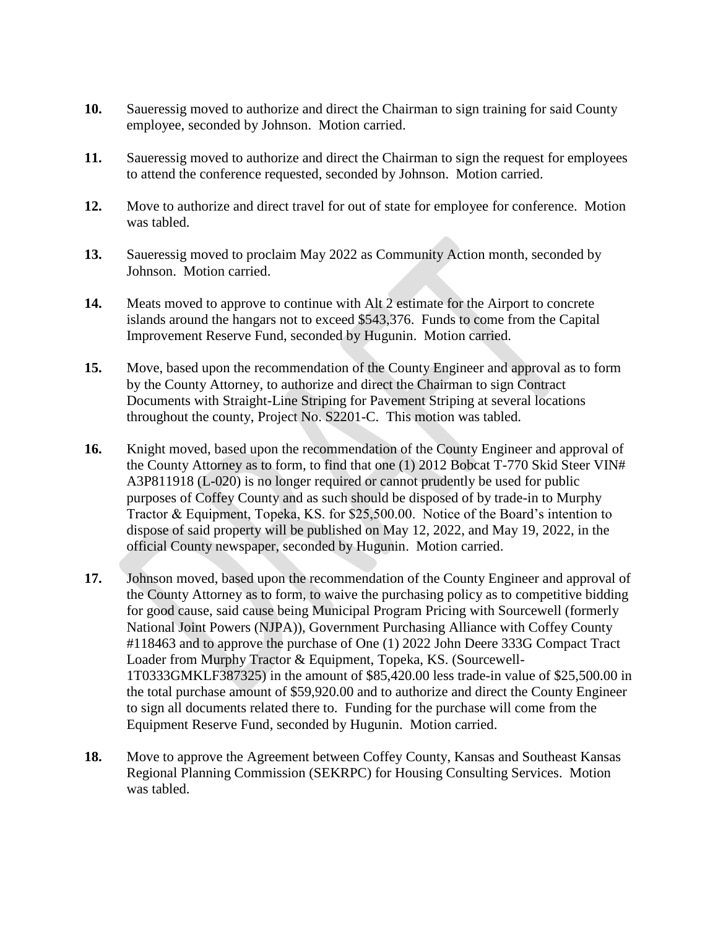- **10.** Saueressig moved to authorize and direct the Chairman to sign training for said County employee, seconded by Johnson. Motion carried.
- **11.** Saueressig moved to authorize and direct the Chairman to sign the request for employees to attend the conference requested, seconded by Johnson. Motion carried.
- **12.** Move to authorize and direct travel for out of state for employee for conference. Motion was tabled.
- **13.** Saueressig moved to proclaim May 2022 as Community Action month, seconded by Johnson. Motion carried.
- **14.** Meats moved to approve to continue with Alt 2 estimate for the Airport to concrete islands around the hangars not to exceed \$543,376. Funds to come from the Capital Improvement Reserve Fund, seconded by Hugunin. Motion carried.
- **15.** Move, based upon the recommendation of the County Engineer and approval as to form by the County Attorney, to authorize and direct the Chairman to sign Contract Documents with Straight-Line Striping for Pavement Striping at several locations throughout the county, Project No. S2201-C. This motion was tabled.
- **16.** Knight moved, based upon the recommendation of the County Engineer and approval of the County Attorney as to form, to find that one (1) 2012 Bobcat T-770 Skid Steer VIN# A3P811918 (L-020) is no longer required or cannot prudently be used for public purposes of Coffey County and as such should be disposed of by trade-in to Murphy Tractor & Equipment, Topeka, KS. for \$25,500.00. Notice of the Board's intention to dispose of said property will be published on May 12, 2022, and May 19, 2022, in the official County newspaper, seconded by Hugunin. Motion carried.
- **17.** Johnson moved, based upon the recommendation of the County Engineer and approval of the County Attorney as to form, to waive the purchasing policy as to competitive bidding for good cause, said cause being Municipal Program Pricing with Sourcewell (formerly National Joint Powers (NJPA)), Government Purchasing Alliance with Coffey County #118463 and to approve the purchase of One (1) 2022 John Deere 333G Compact Tract Loader from Murphy Tractor & Equipment, Topeka, KS. (Sourcewell-1T0333GMKLF387325) in the amount of \$85,420.00 less trade-in value of \$25,500.00 in the total purchase amount of \$59,920.00 and to authorize and direct the County Engineer to sign all documents related there to. Funding for the purchase will come from the Equipment Reserve Fund, seconded by Hugunin. Motion carried.
- **18.** Move to approve the Agreement between Coffey County, Kansas and Southeast Kansas Regional Planning Commission (SEKRPC) for Housing Consulting Services. Motion was tabled.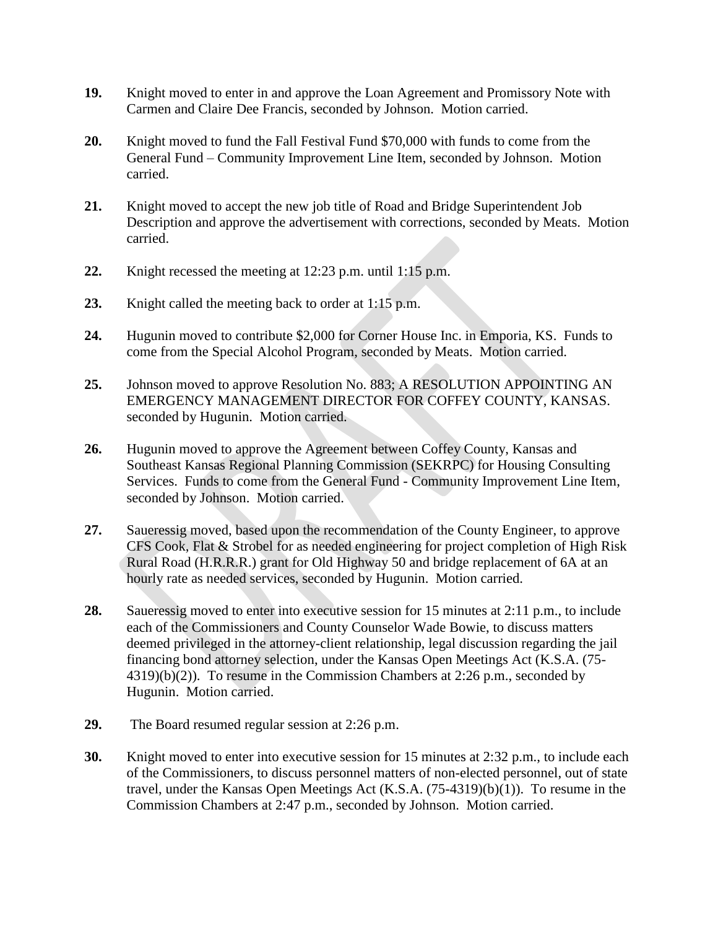- **19.** Knight moved to enter in and approve the Loan Agreement and Promissory Note with Carmen and Claire Dee Francis, seconded by Johnson. Motion carried.
- **20.** Knight moved to fund the Fall Festival Fund \$70,000 with funds to come from the General Fund – Community Improvement Line Item, seconded by Johnson. Motion carried.
- **21.** Knight moved to accept the new job title of Road and Bridge Superintendent Job Description and approve the advertisement with corrections, seconded by Meats. Motion carried.
- **22.** Knight recessed the meeting at 12:23 p.m. until 1:15 p.m.
- **23.** Knight called the meeting back to order at 1:15 p.m.
- **24.** Hugunin moved to contribute \$2,000 for Corner House Inc. in Emporia, KS. Funds to come from the Special Alcohol Program, seconded by Meats. Motion carried.
- **25.** Johnson moved to approve Resolution No. 883; A RESOLUTION APPOINTING AN EMERGENCY MANAGEMENT DIRECTOR FOR COFFEY COUNTY, KANSAS. seconded by Hugunin. Motion carried.
- **26.** Hugunin moved to approve the Agreement between Coffey County, Kansas and Southeast Kansas Regional Planning Commission (SEKRPC) for Housing Consulting Services. Funds to come from the General Fund - Community Improvement Line Item, seconded by Johnson. Motion carried.
- **27.** Saueressig moved, based upon the recommendation of the County Engineer, to approve CFS Cook, Flat & Strobel for as needed engineering for project completion of High Risk Rural Road (H.R.R.R.) grant for Old Highway 50 and bridge replacement of 6A at an hourly rate as needed services, seconded by Hugunin. Motion carried.
- **28.** Saueressig moved to enter into executive session for 15 minutes at 2:11 p.m., to include each of the Commissioners and County Counselor Wade Bowie, to discuss matters deemed privileged in the attorney-client relationship, legal discussion regarding the jail financing bond attorney selection, under the Kansas Open Meetings Act (K.S.A. (75- 4319)(b)(2)). To resume in the Commission Chambers at 2:26 p.m., seconded by Hugunin. Motion carried.
- **29.** The Board resumed regular session at 2:26 p.m.
- **30.** Knight moved to enter into executive session for 15 minutes at 2:32 p.m., to include each of the Commissioners, to discuss personnel matters of non-elected personnel, out of state travel, under the Kansas Open Meetings Act (K.S.A. (75-4319)(b)(1)). To resume in the Commission Chambers at 2:47 p.m., seconded by Johnson. Motion carried.